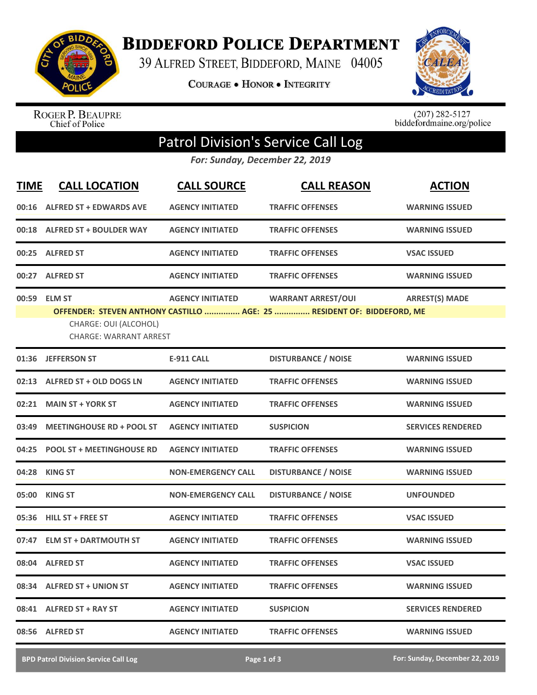

**BIDDEFORD POLICE DEPARTMENT** 

39 ALFRED STREET, BIDDEFORD, MAINE 04005

COURAGE . HONOR . INTEGRITY



ROGER P. BEAUPRE<br>Chief of Police

 $(207)$  282-5127<br>biddefordmaine.org/police

## Patrol Division's Service Call Log

*For: Sunday, December 22, 2019*

| <b>TIME</b> | <b>CALL LOCATION</b>                                                   | <b>CALL SOURCE</b>        | <b>CALL REASON</b>                                                                                  | <b>ACTION</b>            |
|-------------|------------------------------------------------------------------------|---------------------------|-----------------------------------------------------------------------------------------------------|--------------------------|
|             | 00:16 ALFRED ST + EDWARDS AVE                                          | <b>AGENCY INITIATED</b>   | <b>TRAFFIC OFFENSES</b>                                                                             | <b>WARNING ISSUED</b>    |
|             | 00:18 ALFRED ST + BOULDER WAY                                          | <b>AGENCY INITIATED</b>   | <b>TRAFFIC OFFENSES</b>                                                                             | <b>WARNING ISSUED</b>    |
|             | 00:25 ALFRED ST                                                        | <b>AGENCY INITIATED</b>   | <b>TRAFFIC OFFENSES</b>                                                                             | <b>VSAC ISSUED</b>       |
|             | 00:27 ALFRED ST                                                        | <b>AGENCY INITIATED</b>   | <b>TRAFFIC OFFENSES</b>                                                                             | <b>WARNING ISSUED</b>    |
|             | 00:59 ELM ST<br>CHARGE: OUI (ALCOHOL)<br><b>CHARGE: WARRANT ARREST</b> | <b>AGENCY INITIATED</b>   | <b>WARRANT ARREST/OUI</b><br>OFFENDER: STEVEN ANTHONY CASTILLO  AGE: 25  RESIDENT OF: BIDDEFORD, ME | <b>ARREST(S) MADE</b>    |
|             | 01:36 JEFFERSON ST                                                     | <b>E-911 CALL</b>         | <b>DISTURBANCE / NOISE</b>                                                                          | <b>WARNING ISSUED</b>    |
|             | 02:13 ALFRED ST + OLD DOGS LN                                          | <b>AGENCY INITIATED</b>   | <b>TRAFFIC OFFENSES</b>                                                                             | <b>WARNING ISSUED</b>    |
|             | 02:21 MAIN ST + YORK ST                                                | <b>AGENCY INITIATED</b>   | <b>TRAFFIC OFFENSES</b>                                                                             | <b>WARNING ISSUED</b>    |
|             | 03:49 MEETINGHOUSE RD + POOL ST                                        | <b>AGENCY INITIATED</b>   | <b>SUSPICION</b>                                                                                    | <b>SERVICES RENDERED</b> |
| 04:25       | <b>POOL ST + MEETINGHOUSE RD</b>                                       | <b>AGENCY INITIATED</b>   | <b>TRAFFIC OFFENSES</b>                                                                             | <b>WARNING ISSUED</b>    |
| 04:28       | <b>KING ST</b>                                                         | <b>NON-EMERGENCY CALL</b> | <b>DISTURBANCE / NOISE</b>                                                                          | <b>WARNING ISSUED</b>    |
|             | 05:00 KING ST                                                          | <b>NON-EMERGENCY CALL</b> | <b>DISTURBANCE / NOISE</b>                                                                          | <b>UNFOUNDED</b>         |
|             | 05:36 HILL ST + FREE ST                                                | <b>AGENCY INITIATED</b>   | <b>TRAFFIC OFFENSES</b>                                                                             | <b>VSAC ISSUED</b>       |
|             | 07:47 ELM ST + DARTMOUTH ST                                            | <b>AGENCY INITIATED</b>   | <b>TRAFFIC OFFENSES</b>                                                                             | <b>WARNING ISSUED</b>    |
|             | 08:04 ALFRED ST                                                        | <b>AGENCY INITIATED</b>   | <b>TRAFFIC OFFENSES</b>                                                                             | <b>VSAC ISSUED</b>       |
|             | 08:34 ALFRED ST + UNION ST                                             | <b>AGENCY INITIATED</b>   | <b>TRAFFIC OFFENSES</b>                                                                             | <b>WARNING ISSUED</b>    |
|             | 08:41 ALFRED ST + RAY ST                                               | <b>AGENCY INITIATED</b>   | <b>SUSPICION</b>                                                                                    | <b>SERVICES RENDERED</b> |
| 08:56       | <b>ALFRED ST</b>                                                       | <b>AGENCY INITIATED</b>   | <b>TRAFFIC OFFENSES</b>                                                                             | <b>WARNING ISSUED</b>    |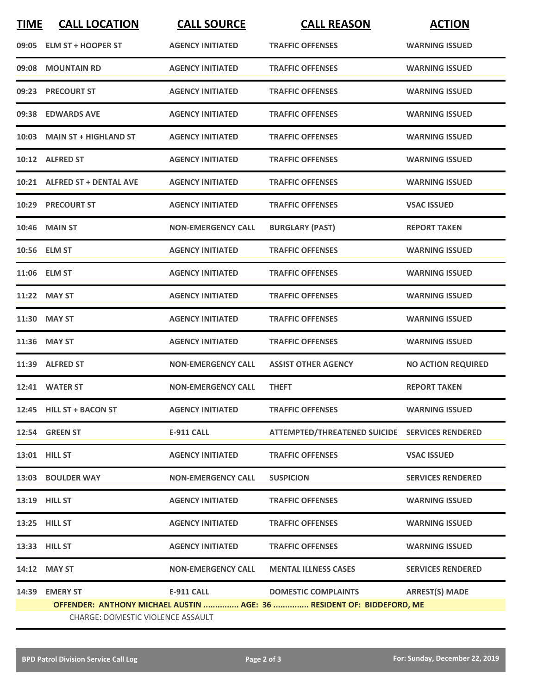| <b>TIME</b> | <b>CALL LOCATION</b>                                                                                       | <b>CALL SOURCE</b>        | <b>CALL REASON</b>                             | <b>ACTION</b>             |  |  |
|-------------|------------------------------------------------------------------------------------------------------------|---------------------------|------------------------------------------------|---------------------------|--|--|
|             | 09:05 ELM ST + HOOPER ST                                                                                   | <b>AGENCY INITIATED</b>   | <b>TRAFFIC OFFENSES</b>                        | <b>WARNING ISSUED</b>     |  |  |
|             | 09:08 MOUNTAIN RD                                                                                          | <b>AGENCY INITIATED</b>   | <b>TRAFFIC OFFENSES</b>                        | <b>WARNING ISSUED</b>     |  |  |
|             | 09:23 PRECOURT ST                                                                                          | <b>AGENCY INITIATED</b>   | <b>TRAFFIC OFFENSES</b>                        | <b>WARNING ISSUED</b>     |  |  |
|             | 09:38 EDWARDS AVE                                                                                          | <b>AGENCY INITIATED</b>   | <b>TRAFFIC OFFENSES</b>                        | <b>WARNING ISSUED</b>     |  |  |
|             | 10:03 MAIN ST + HIGHLAND ST                                                                                | <b>AGENCY INITIATED</b>   | <b>TRAFFIC OFFENSES</b>                        | <b>WARNING ISSUED</b>     |  |  |
|             | 10:12 ALFRED ST                                                                                            | <b>AGENCY INITIATED</b>   | <b>TRAFFIC OFFENSES</b>                        | <b>WARNING ISSUED</b>     |  |  |
|             | 10:21 ALFRED ST + DENTAL AVE                                                                               | <b>AGENCY INITIATED</b>   | <b>TRAFFIC OFFENSES</b>                        | <b>WARNING ISSUED</b>     |  |  |
|             | 10:29 PRECOURT ST                                                                                          | <b>AGENCY INITIATED</b>   | <b>TRAFFIC OFFENSES</b>                        | <b>VSAC ISSUED</b>        |  |  |
|             | <b>10:46 MAIN ST</b>                                                                                       | <b>NON-EMERGENCY CALL</b> | <b>BURGLARY (PAST)</b>                         | <b>REPORT TAKEN</b>       |  |  |
|             | 10:56 ELM ST                                                                                               | <b>AGENCY INITIATED</b>   | <b>TRAFFIC OFFENSES</b>                        | <b>WARNING ISSUED</b>     |  |  |
|             | 11:06 ELM ST                                                                                               | <b>AGENCY INITIATED</b>   | <b>TRAFFIC OFFENSES</b>                        | <b>WARNING ISSUED</b>     |  |  |
|             | 11:22 MAY ST                                                                                               | <b>AGENCY INITIATED</b>   | <b>TRAFFIC OFFENSES</b>                        | <b>WARNING ISSUED</b>     |  |  |
| 11:30       | <b>MAY ST</b>                                                                                              | <b>AGENCY INITIATED</b>   | <b>TRAFFIC OFFENSES</b>                        | <b>WARNING ISSUED</b>     |  |  |
|             | 11:36 MAY ST                                                                                               | <b>AGENCY INITIATED</b>   | <b>TRAFFIC OFFENSES</b>                        | <b>WARNING ISSUED</b>     |  |  |
|             | 11:39 ALFRED ST                                                                                            | <b>NON-EMERGENCY CALL</b> | <b>ASSIST OTHER AGENCY</b>                     | <b>NO ACTION REQUIRED</b> |  |  |
|             | 12:41 WATER ST                                                                                             | <b>NON-EMERGENCY CALL</b> | <b>THEFT</b>                                   | <b>REPORT TAKEN</b>       |  |  |
|             | 12:45 HILL ST + BACON ST                                                                                   | <b>AGENCY INITIATED</b>   | <b>TRAFFIC OFFENSES</b>                        | <b>WARNING ISSUED</b>     |  |  |
|             | 12:54 GREEN ST                                                                                             | <b>E-911 CALL</b>         | ATTEMPTED/THREATENED SUICIDE SERVICES RENDERED |                           |  |  |
|             | 13:01 HILL ST                                                                                              | <b>AGENCY INITIATED</b>   | <b>TRAFFIC OFFENSES</b>                        | <b>VSAC ISSUED</b>        |  |  |
|             | 13:03 BOULDER WAY                                                                                          | <b>NON-EMERGENCY CALL</b> | <b>SUSPICION</b>                               | <b>SERVICES RENDERED</b>  |  |  |
|             | 13:19 HILL ST                                                                                              | <b>AGENCY INITIATED</b>   | <b>TRAFFIC OFFENSES</b>                        | <b>WARNING ISSUED</b>     |  |  |
|             | 13:25 HILL ST                                                                                              | <b>AGENCY INITIATED</b>   | <b>TRAFFIC OFFENSES</b>                        | <b>WARNING ISSUED</b>     |  |  |
|             | 13:33 HILL ST                                                                                              | <b>AGENCY INITIATED</b>   | <b>TRAFFIC OFFENSES</b>                        | <b>WARNING ISSUED</b>     |  |  |
|             | 14:12 MAY ST                                                                                               | <b>NON-EMERGENCY CALL</b> | <b>MENTAL ILLNESS CASES</b>                    | <b>SERVICES RENDERED</b>  |  |  |
| 14:39       | <b>EMERY ST</b>                                                                                            | E-911 CALL                | <b>DOMESTIC COMPLAINTS</b>                     | <b>ARREST(S) MADE</b>     |  |  |
|             | OFFENDER: ANTHONY MICHAEL AUSTIN  AGE: 36  RESIDENT OF: BIDDEFORD, ME<br>CHARGE: DOMESTIC VIOLENCE ASSAULT |                           |                                                |                           |  |  |